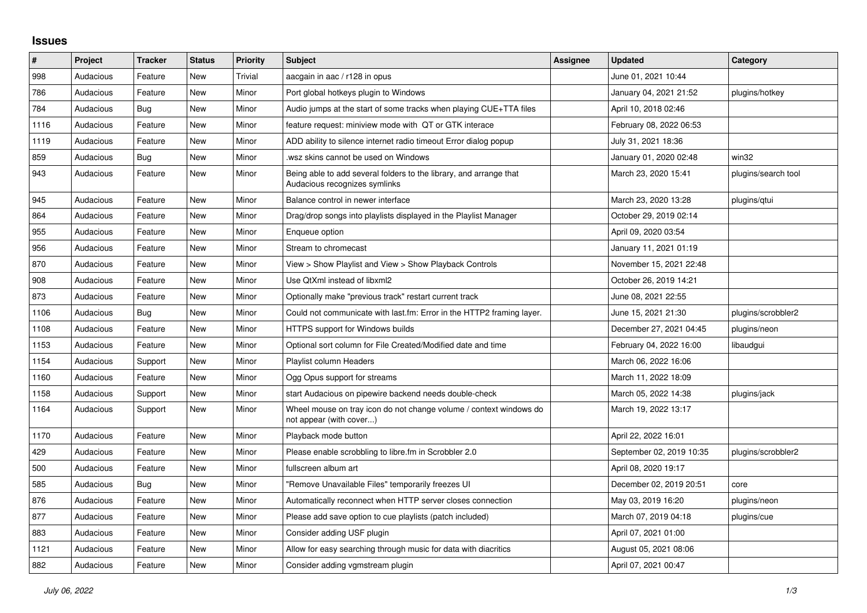## **Issues**

| ∦    | Project   | Tracker    | <b>Status</b> | <b>Priority</b> | <b>Subject</b>                                                                                      | <b>Assignee</b> | <b>Updated</b>           | Category            |
|------|-----------|------------|---------------|-----------------|-----------------------------------------------------------------------------------------------------|-----------------|--------------------------|---------------------|
| 998  | Audacious | Feature    | <b>New</b>    | Trivial         | aacgain in aac / r128 in opus                                                                       |                 | June 01, 2021 10:44      |                     |
| 786  | Audacious | Feature    | <b>New</b>    | Minor           | Port global hotkeys plugin to Windows                                                               |                 | January 04, 2021 21:52   | plugins/hotkey      |
| 784  | Audacious | <b>Bug</b> | <b>New</b>    | Minor           | Audio jumps at the start of some tracks when playing CUE+TTA files                                  |                 | April 10, 2018 02:46     |                     |
| 1116 | Audacious | Feature    | <b>New</b>    | Minor           | feature request: miniview mode with QT or GTK interace                                              |                 | February 08, 2022 06:53  |                     |
| 1119 | Audacious | Feature    | <b>New</b>    | Minor           | ADD ability to silence internet radio timeout Error dialog popup                                    |                 | July 31, 2021 18:36      |                     |
| 859  | Audacious | <b>Bug</b> | <b>New</b>    | Minor           | wsz skins cannot be used on Windows.                                                                |                 | January 01, 2020 02:48   | win32               |
| 943  | Audacious | Feature    | New           | Minor           | Being able to add several folders to the library, and arrange that<br>Audacious recognizes symlinks |                 | March 23, 2020 15:41     | plugins/search tool |
| 945  | Audacious | Feature    | <b>New</b>    | Minor           | Balance control in newer interface                                                                  |                 | March 23, 2020 13:28     | plugins/gtui        |
| 864  | Audacious | Feature    | New           | Minor           | Drag/drop songs into playlists displayed in the Playlist Manager                                    |                 | October 29, 2019 02:14   |                     |
| 955  | Audacious | Feature    | <b>New</b>    | Minor           | Enqueue option                                                                                      |                 | April 09, 2020 03:54     |                     |
| 956  | Audacious | Feature    | New           | Minor           | Stream to chromecast                                                                                |                 | January 11, 2021 01:19   |                     |
| 870  | Audacious | Feature    | <b>New</b>    | Minor           | View > Show Playlist and View > Show Playback Controls                                              |                 | November 15, 2021 22:48  |                     |
| 908  | Audacious | Feature    | <b>New</b>    | Minor           | Use QtXml instead of libxml2                                                                        |                 | October 26, 2019 14:21   |                     |
| 873  | Audacious | Feature    | New           | Minor           | Optionally make "previous track" restart current track                                              |                 | June 08, 2021 22:55      |                     |
| 1106 | Audacious | Bug        | <b>New</b>    | Minor           | Could not communicate with last.fm: Error in the HTTP2 framing layer.                               |                 | June 15, 2021 21:30      | plugins/scrobbler2  |
| 1108 | Audacious | Feature    | <b>New</b>    | Minor           | <b>HTTPS support for Windows builds</b>                                                             |                 | December 27, 2021 04:45  | plugins/neon        |
| 1153 | Audacious | Feature    | <b>New</b>    | Minor           | Optional sort column for File Created/Modified date and time                                        |                 | February 04, 2022 16:00  | libaudgui           |
| 1154 | Audacious | Support    | <b>New</b>    | Minor           | Playlist column Headers                                                                             |                 | March 06, 2022 16:06     |                     |
| 1160 | Audacious | Feature    | <b>New</b>    | Minor           | Ogg Opus support for streams                                                                        |                 | March 11, 2022 18:09     |                     |
| 1158 | Audacious | Support    | New           | Minor           | start Audacious on pipewire backend needs double-check                                              |                 | March 05, 2022 14:38     | plugins/jack        |
| 1164 | Audacious | Support    | <b>New</b>    | Minor           | Wheel mouse on tray icon do not change volume / context windows do<br>not appear (with cover)       |                 | March 19, 2022 13:17     |                     |
| 1170 | Audacious | Feature    | <b>New</b>    | Minor           | Playback mode button                                                                                |                 | April 22, 2022 16:01     |                     |
| 429  | Audacious | Feature    | <b>New</b>    | Minor           | Please enable scrobbling to libre.fm in Scrobbler 2.0                                               |                 | September 02, 2019 10:35 | plugins/scrobbler2  |
| 500  | Audacious | Feature    | <b>New</b>    | Minor           | fullscreen album art                                                                                |                 | April 08, 2020 19:17     |                     |
| 585  | Audacious | Bug        | New           | Minor           | "Remove Unavailable Files" temporarily freezes UI                                                   |                 | December 02, 2019 20:51  | core                |
| 876  | Audacious | Feature    | <b>New</b>    | Minor           | Automatically reconnect when HTTP server closes connection                                          |                 | May 03, 2019 16:20       | plugins/neon        |
| 877  | Audacious | Feature    | New           | Minor           | Please add save option to cue playlists (patch included)                                            |                 | March 07, 2019 04:18     | plugins/cue         |
| 883  | Audacious | Feature    | New           | Minor           | Consider adding USF plugin                                                                          |                 | April 07, 2021 01:00     |                     |
| 1121 | Audacious | Feature    | <b>New</b>    | Minor           | Allow for easy searching through music for data with diacritics                                     |                 | August 05, 2021 08:06    |                     |
| 882  | Audacious | Feature    | <b>New</b>    | Minor           | Consider adding vgmstream plugin                                                                    |                 | April 07, 2021 00:47     |                     |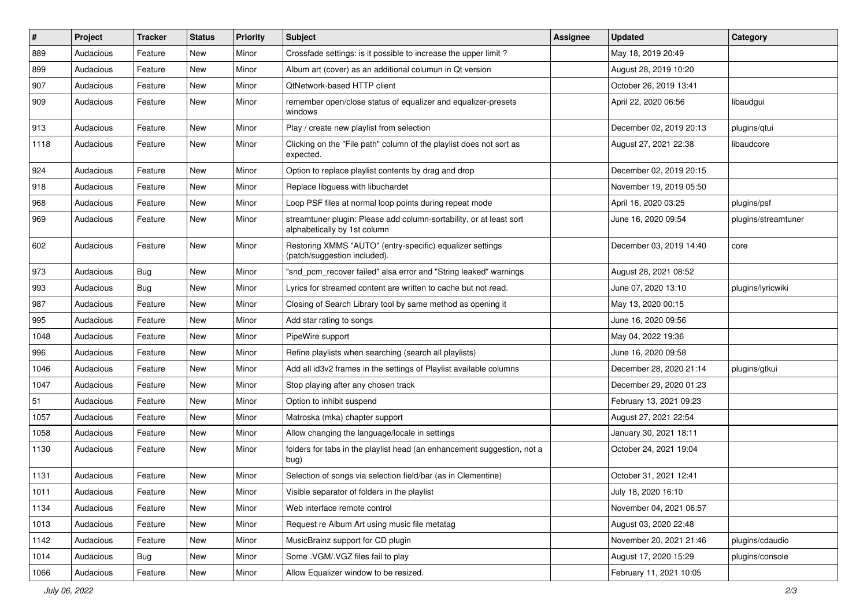| #    | Project   | <b>Tracker</b> | <b>Status</b> | <b>Priority</b> | Subject                                                                                             | <b>Assignee</b> | <b>Updated</b>          | Category            |
|------|-----------|----------------|---------------|-----------------|-----------------------------------------------------------------------------------------------------|-----------------|-------------------------|---------------------|
| 889  | Audacious | Feature        | New           | Minor           | Crossfade settings: is it possible to increase the upper limit?                                     |                 | May 18, 2019 20:49      |                     |
| 899  | Audacious | Feature        | New           | Minor           | Album art (cover) as an additional columun in Qt version                                            |                 | August 28, 2019 10:20   |                     |
| 907  | Audacious | Feature        | New           | Minor           | QtNetwork-based HTTP client                                                                         |                 | October 26, 2019 13:41  |                     |
| 909  | Audacious | Feature        | New           | Minor           | remember open/close status of equalizer and equalizer-presets<br>windows                            |                 | April 22, 2020 06:56    | libaudgui           |
| 913  | Audacious | Feature        | New           | Minor           | Play / create new playlist from selection                                                           |                 | December 02, 2019 20:13 | plugins/qtui        |
| 1118 | Audacious | Feature        | New           | Minor           | Clicking on the "File path" column of the playlist does not sort as<br>expected.                    |                 | August 27, 2021 22:38   | libaudcore          |
| 924  | Audacious | Feature        | New           | Minor           | Option to replace playlist contents by drag and drop                                                |                 | December 02, 2019 20:15 |                     |
| 918  | Audacious | Feature        | New           | Minor           | Replace libguess with libuchardet                                                                   |                 | November 19, 2019 05:50 |                     |
| 968  | Audacious | Feature        | New           | Minor           | Loop PSF files at normal loop points during repeat mode                                             |                 | April 16, 2020 03:25    | plugins/psf         |
| 969  | Audacious | Feature        | New           | Minor           | streamtuner plugin: Please add column-sortability, or at least sort<br>alphabetically by 1st column |                 | June 16, 2020 09:54     | plugins/streamtuner |
| 602  | Audacious | Feature        | New           | Minor           | Restoring XMMS "AUTO" (entry-specific) equalizer settings<br>(patch/suggestion included).           |                 | December 03, 2019 14:40 | core                |
| 973  | Audacious | Bug            | New           | Minor           | "snd_pcm_recover failed" alsa error and "String leaked" warnings                                    |                 | August 28, 2021 08:52   |                     |
| 993  | Audacious | Bug            | New           | Minor           | Lyrics for streamed content are written to cache but not read.                                      |                 | June 07, 2020 13:10     | plugins/lyricwiki   |
| 987  | Audacious | Feature        | New           | Minor           | Closing of Search Library tool by same method as opening it                                         |                 | May 13, 2020 00:15      |                     |
| 995  | Audacious | Feature        | New           | Minor           | Add star rating to songs                                                                            |                 | June 16, 2020 09:56     |                     |
| 1048 | Audacious | Feature        | New           | Minor           | PipeWire support                                                                                    |                 | May 04, 2022 19:36      |                     |
| 996  | Audacious | Feature        | New           | Minor           | Refine playlists when searching (search all playlists)                                              |                 | June 16, 2020 09:58     |                     |
| 1046 | Audacious | Feature        | New           | Minor           | Add all id3v2 frames in the settings of Playlist available columns                                  |                 | December 28, 2020 21:14 | plugins/gtkui       |
| 1047 | Audacious | Feature        | New           | Minor           | Stop playing after any chosen track                                                                 |                 | December 29, 2020 01:23 |                     |
| 51   | Audacious | Feature        | New           | Minor           | Option to inhibit suspend                                                                           |                 | February 13, 2021 09:23 |                     |
| 1057 | Audacious | Feature        | New           | Minor           | Matroska (mka) chapter support                                                                      |                 | August 27, 2021 22:54   |                     |
| 1058 | Audacious | Feature        | New           | Minor           | Allow changing the language/locale in settings                                                      |                 | January 30, 2021 18:11  |                     |
| 1130 | Audacious | Feature        | New           | Minor           | folders for tabs in the playlist head (an enhancement suggestion, not a<br>bug)                     |                 | October 24, 2021 19:04  |                     |
| 1131 | Audacious | Feature        | New           | Minor           | Selection of songs via selection field/bar (as in Clementine)                                       |                 | October 31, 2021 12:41  |                     |
| 1011 | Audacious | Feature        | New           | Minor           | Visible separator of folders in the playlist                                                        |                 | July 18, 2020 16:10     |                     |
| 1134 | Audacious | Feature        | New           | Minor           | Web interface remote control                                                                        |                 | November 04, 2021 06:57 |                     |
| 1013 | Audacious | Feature        | New           | Minor           | Request re Album Art using music file metatag                                                       |                 | August 03, 2020 22:48   |                     |
| 1142 | Audacious | Feature        | New           | Minor           | MusicBrainz support for CD plugin                                                                   |                 | November 20, 2021 21:46 | plugins/cdaudio     |
| 1014 | Audacious | <b>Bug</b>     | New           | Minor           | Some .VGM/.VGZ files fail to play                                                                   |                 | August 17, 2020 15:29   | plugins/console     |
| 1066 | Audacious | Feature        | New           | Minor           | Allow Equalizer window to be resized.                                                               |                 | February 11, 2021 10:05 |                     |